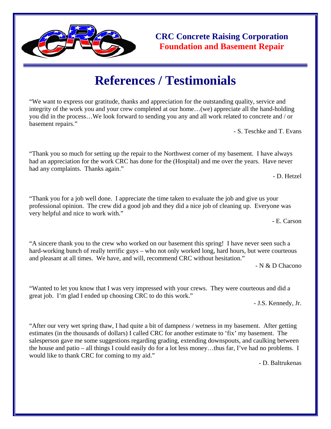

**CRC Concrete Raising Corporation Foundation and Basement Repair** 

## **References / Testimonials**

"We want to express our gratitude, thanks and appreciation for the outstanding quality, service and integrity of the work you and your crew completed at our home…(we) appreciate all the hand-holding you did in the process…We look forward to sending you any and all work related to concrete and / or basement repairs."

- S. Teschke and T. Evans

"Thank you so much for setting up the repair to the Northwest corner of my basement. I have always had an appreciation for the work CRC has done for the (Hospital) and me over the years. Have never had any complaints. Thanks again."

- D. Hetzel

"Thank you for a job well done. I appreciate the time taken to evaluate the job and give us your professional opinion. The crew did a good job and they did a nice job of cleaning up. Everyone was very helpful and nice to work with."

- E. Carson

"A sincere thank you to the crew who worked on our basement this spring! I have never seen such a hard-working bunch of really terrific guys – who not only worked long, hard hours, but were courteous and pleasant at all times. We have, and will, recommend CRC without hesitation."

- N & D Chacono

"Wanted to let you know that I was very impressed with your crews. They were courteous and did a great job. I'm glad I ended up choosing CRC to do this work."

- J.S. Kennedy, Jr.

"After our very wet spring thaw, I had quite a bit of dampness / wetness in my basement. After getting estimates (in the thousands of dollars) I called CRC for another estimate to 'fix' my basement. The salesperson gave me some suggestions regarding grading, extending downspouts, and caulking between the house and patio – all things I could easily do for a lot less money…thus far, I've had no problems. I would like to thank CRC for coming to my aid."

- D. Baltrukenas